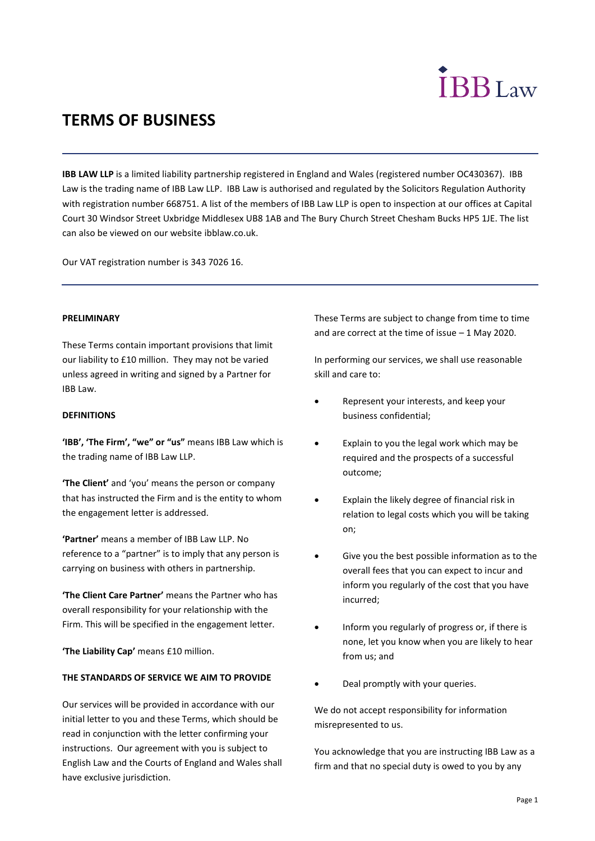# **IBB**Law

# **TERMS OF BUSINESS**

**IBB LAW LLP** is a limited liability partnership registered in England and Wales (registered number OC430367). IBB Law is the trading name of IBB Law LLP. IBB Law is authorised and regulated by the Solicitors Regulation Authority with registration number 668751. A list of the members of IBB Law LLP is open to inspection at our offices at Capital Court 30 Windsor Street Uxbridge Middlesex UB8 1AB and The Bury Church Street Chesham Bucks HP5 1JE. The list can also be viewed on our website ibblaw.co.uk.

Our VAT registration number is 343 7026 16.

# **PRELIMINARY**

These Terms contain important provisions that limit our liability to £10 million. They may not be varied unless agreed in writing and signed by a Partner for IBB Law.

# **DEFINITIONS**

**'IBB', 'The Firm', "we" or "us"** means IBB Law which is the trading name of IBB Law LLP.

**'The Client'** and 'you' means the person or company that has instructed the Firm and is the entity to whom the engagement letter is addressed.

**'Partner'** means a member of IBB Law LLP. No reference to a "partner" is to imply that any person is carrying on business with others in partnership.

**'The Client Care Partner'** means the Partner who has overall responsibility for your relationship with the Firm. This will be specified in the engagement letter.

**'The Liability Cap'** means £10 million.

# **THE STANDARDS OF SERVICE WE AIM TO PROVIDE**

Our services will be provided in accordance with our initial letter to you and these Terms, which should be read in conjunction with the letter confirming your instructions. Our agreement with you is subject to English Law and the Courts of England and Wales shall have exclusive jurisdiction.

These Terms are subject to change from time to time and are correct at the time of issue – 1 May 2020.

In performing our services, we shall use reasonable skill and care to:

- Represent your interests, and keep your business confidential;
- Explain to you the legal work which may be required and the prospects of a successful outcome;
- Explain the likely degree of financial risk in relation to legal costs which you will be taking on;
- Give you the best possible information as to the overall fees that you can expect to incur and inform you regularly of the cost that you have incurred;
- Inform you regularly of progress or, if there is none, let you know when you are likely to hear from us; and
- Deal promptly with your queries.

We do not accept responsibility for information misrepresented to us.

You acknowledge that you are instructing IBB Law as a firm and that no special duty is owed to you by any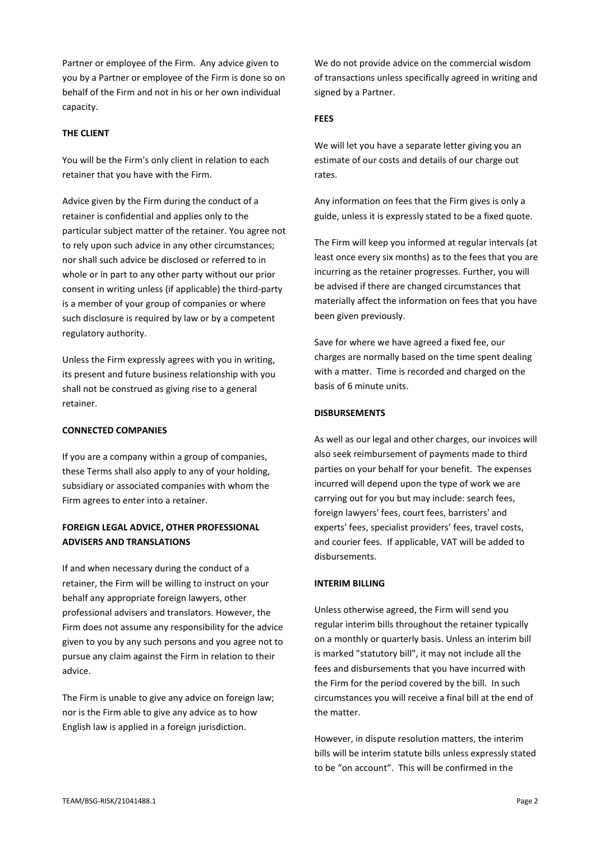Partner or employee of the Firm. Any advice given to you by a Partner or employee of the Firm is done so on behalf of the Firm and not in his or her own individual capacity.

# **THE CLIENT**

You will be the Firm's only client in relation to each retainer that you have with the Firm.

Advice given by the Firm during the conduct of a retainer is confidential and applies only to the particular subject matter of the retainer. You agree not to rely upon such advice in any other circumstances; nor shall such advice be disclosed or referred to in whole or in part to any other party without our prior consent in writing unless (if applicable) the third-party is a member of your group of companies or where such disclosure is required by law or by a competent regulatory authority.

Unless the Firm expressly agrees with you in writing, its present and future business relationship with you shall not be construed as giving rise to a general retainer.

# **CONNECTED COMPANIES**

If you are a company within a group of companies, these Terms shall also apply to any of your holding, subsidiary or associated companies with whom the Firm agrees to enter into a retainer.

# **FOREIGN LEGAL ADVICE, OTHER PROFESSIONAL ADVISERS AND TRANSLATIONS**

If and when necessary during the conduct of a retainer, the Firm will be willing to instruct on your behalf any appropriate foreign lawyers, other professional advisers and translators. However, the Firm does not assume any responsibility for the advice given to you by any such persons and you agree not to pursue any claim against the Firm in relation to their advice.

The Firm is unable to give any advice on foreign law; nor is the Firm able to give any advice as to how English law is applied in a foreign jurisdiction.

We do not provide advice on the commercial wisdom of transactions unless specifically agreed in writing and signed by a Partner.

# **FEES**

We will let you have a separate letter giving you an estimate of our costs and details of our charge out rates.

Any information on fees that the Firm gives is only a guide, unless it is expressly stated to be a fixed quote.

The Firm will keep you informed at regular intervals (at least once every six months) as to the fees that you are incurring as the retainer progresses. Further, you will be advised if there are changed circumstances that materially affect the information on fees that you have been given previously.

Save for where we have agreed a fixed fee, our charges are normally based on the time spent dealing with a matter. Time is recorded and charged on the basis of 6 minute units.

# **DISBURSEMENTS**

As well as our legal and other charges, our invoices will also seek reimbursement of payments made to third parties on your behalf for your benefit. The expenses incurred will depend upon the type of work we are carrying out for you but may include: search fees, foreign lawyers' fees, court fees, barristers' and experts' fees, specialist providers' fees, travel costs, and courier fees. If applicable, VAT will be added to disbursements.

# **INTERIM BILLING**

Unless otherwise agreed, the Firm will send you regular interim bills throughout the retainer typically on a monthly or quarterly basis. Unless an interim bill is marked "statutory bill", it may not include all the fees and disbursements that you have incurred with the Firm for the period covered by the bill. In such circumstances you will receive a final bill at the end of the matter.

However, in dispute resolution matters, the interim bills will be interim statute bills unless expressly stated to be "on account". This will be confirmed in the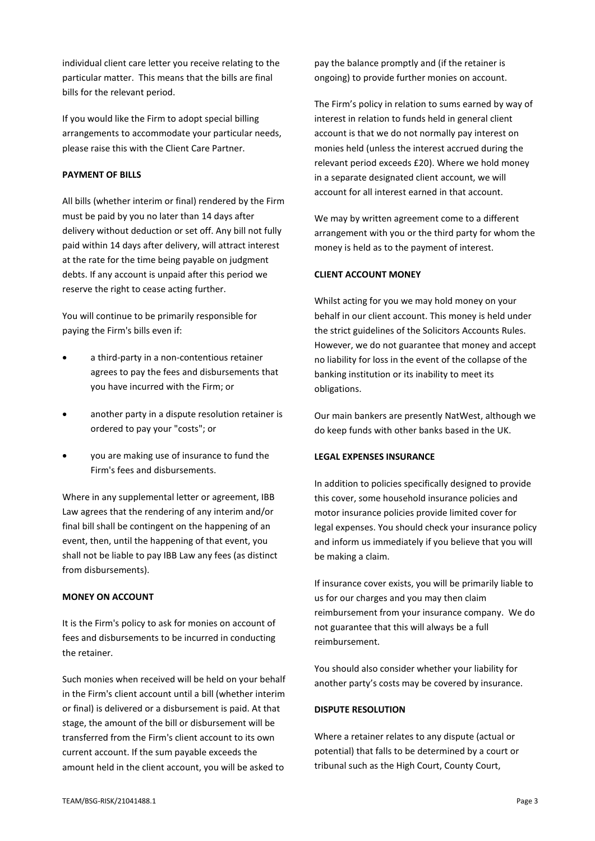individual client care letter you receive relating to the particular matter. This means that the bills are final bills for the relevant period.

If you would like the Firm to adopt special billing arrangements to accommodate your particular needs, please raise this with the Client Care Partner.

# **PAYMENT OF BILLS**

All bills (whether interim or final) rendered by the Firm must be paid by you no later than 14 days after delivery without deduction or set off. Any bill not fully paid within 14 days after delivery, will attract interest at the rate for the time being payable on judgment debts. If any account is unpaid after this period we reserve the right to cease acting further.

You will continue to be primarily responsible for paying the Firm's bills even if:

- a third-party in a non-contentious retainer agrees to pay the fees and disbursements that you have incurred with the Firm; or
- another party in a dispute resolution retainer is ordered to pay your "costs"; or
- you are making use of insurance to fund the Firm's fees and disbursements.

Where in any supplemental letter or agreement, IBB Law agrees that the rendering of any interim and/or final bill shall be contingent on the happening of an event, then, until the happening of that event, you shall not be liable to pay IBB Law any fees (as distinct from disbursements).

# **MONEY ON ACCOUNT**

It is the Firm's policy to ask for monies on account of fees and disbursements to be incurred in conducting the retainer.

Such monies when received will be held on your behalf in the Firm's client account until a bill (whether interim or final) is delivered or a disbursement is paid. At that stage, the amount of the bill or disbursement will be transferred from the Firm's client account to its own current account. If the sum payable exceeds the amount held in the client account, you will be asked to

pay the balance promptly and (if the retainer is ongoing) to provide further monies on account.

The Firm's policy in relation to sums earned by way of interest in relation to funds held in general client account is that we do not normally pay interest on monies held (unless the interest accrued during the relevant period exceeds £20). Where we hold money in a separate designated client account, we will account for all interest earned in that account.

We may by written agreement come to a different arrangement with you or the third party for whom the money is held as to the payment of interest.

# **CLIENT ACCOUNT MONEY**

Whilst acting for you we may hold money on your behalf in our client account. This money is held under the strict guidelines of the Solicitors Accounts Rules. However, we do not guarantee that money and accept no liability for loss in the event of the collapse of the banking institution or its inability to meet its obligations.

Our main bankers are presently NatWest, although we do keep funds with other banks based in the UK.

#### **LEGAL EXPENSES INSURANCE**

In addition to policies specifically designed to provide this cover, some household insurance policies and motor insurance policies provide limited cover for legal expenses. You should check your insurance policy and inform us immediately if you believe that you will be making a claim.

If insurance cover exists, you will be primarily liable to us for our charges and you may then claim reimbursement from your insurance company. We do not guarantee that this will always be a full reimbursement.

You should also consider whether your liability for another party's costs may be covered by insurance.

# **DISPUTE RESOLUTION**

Where a retainer relates to any dispute (actual or potential) that falls to be determined by a court or tribunal such as the High Court, County Court,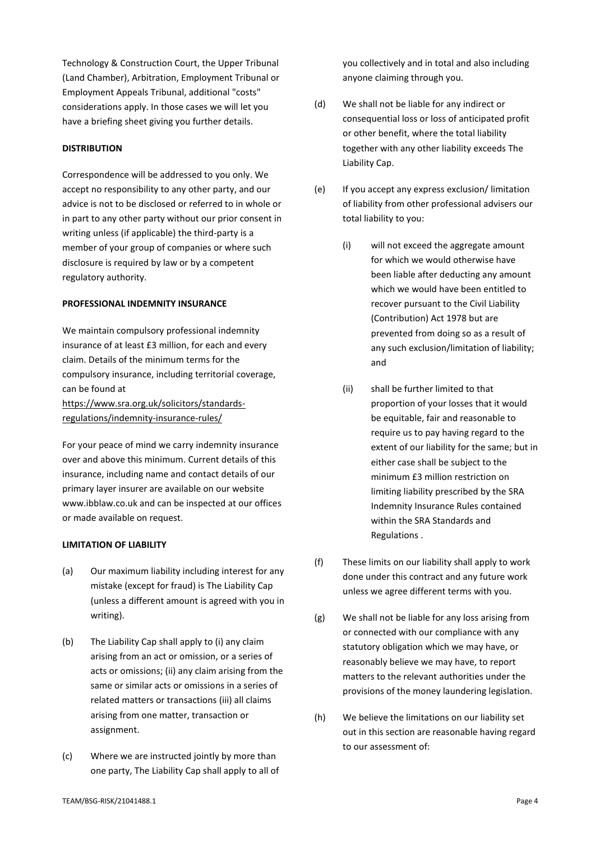Technology & Construction Court, the Upper Tribunal (Land Chamber), Arbitration, Employment Tribunal or Employment Appeals Tribunal, additional "costs" considerations apply. In those cases we will let you have a briefing sheet giving you further details.

# **DISTRIBUTION**

Correspondence will be addressed to you only. We accept no responsibility to any other party, and our advice is not to be disclosed or referred to in whole or in part to any other party without our prior consent in writing unless (if applicable) the third-party is a member of your group of companies or where such disclosure is required by law or by a competent regulatory authority.

# **PROFESSIONAL INDEMNITY INSURANCE**

We maintain compulsory professional indemnity insurance of at least £3 million, for each and every claim. Details of the minimum terms for the compulsory insurance, including territorial coverage, can be found at [https://www.sra.org.uk/solicitors/standards](https://www.sra.org.uk/solicitors/standards-regulations/indemnity-insurance-rules/)[regulations/indemnity-insurance-rules/](https://www.sra.org.uk/solicitors/standards-regulations/indemnity-insurance-rules/)

For your peace of mind we carry indemnity insurance over and above this minimum. Current details of this insurance, including name and contact details of our primary layer insurer are available on our website www.ibblaw.co.uk and can be inspected at our offices or made available on request.

# **LIMITATION OF LIABILITY**

- (a) Our maximum liability including interest for any mistake (except for fraud) is The Liability Cap (unless a different amount is agreed with you in writing).
- (b) The Liability Cap shall apply to (i) any claim arising from an act or omission, or a series of acts or omissions; (ii) any claim arising from the same or similar acts or omissions in a series of related matters or transactions (iii) all claims arising from one matter, transaction or assignment.
- (c) Where we are instructed jointly by more than one party, The Liability Cap shall apply to all of

you collectively and in total and also including anyone claiming through you.

- (d) We shall not be liable for any indirect or consequential loss or loss of anticipated profit or other benefit, where the total liability together with any other liability exceeds The Liability Cap.
- (e) If you accept any express exclusion/ limitation of liability from other professional advisers our total liability to you:
	- (i) will not exceed the aggregate amount for which we would otherwise have been liable after deducting any amount which we would have been entitled to recover pursuant to the Civil Liability (Contribution) Act 1978 but are prevented from doing so as a result of any such exclusion/limitation of liability; and
	- (ii) shall be further limited to that proportion of your losses that it would be equitable, fair and reasonable to require us to pay having regard to the extent of our liability for the same; but in either case shall be subject to the minimum £3 million restriction on limiting liability prescribed by the SRA Indemnity Insurance Rules contained within the SRA Standards and Regulations .
- (f) These limits on our liability shall apply to work done under this contract and any future work unless we agree different terms with you.
- (g) We shall not be liable for any loss arising from or connected with our compliance with any statutory obligation which we may have, or reasonably believe we may have, to report matters to the relevant authorities under the provisions of the money laundering legislation.
- (h) We believe the limitations on our liability set out in this section are reasonable having regard to our assessment of: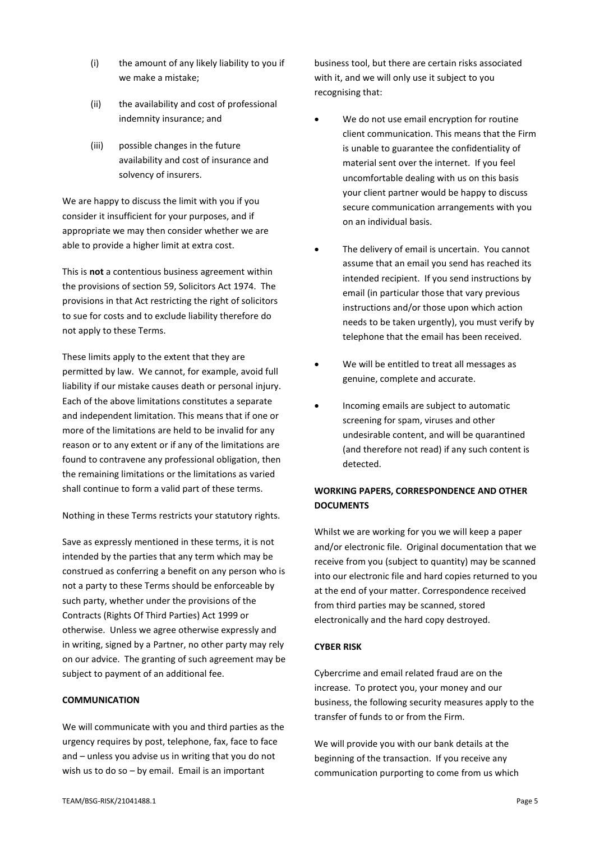- (i) the amount of any likely liability to you if we make a mistake;
- (ii) the availability and cost of professional indemnity insurance; and
- (iii) possible changes in the future availability and cost of insurance and solvency of insurers.

We are happy to discuss the limit with you if you consider it insufficient for your purposes, and if appropriate we may then consider whether we are able to provide a higher limit at extra cost.

This is **not** a contentious business agreement within the provisions of section 59, Solicitors Act 1974. The provisions in that Act restricting the right of solicitors to sue for costs and to exclude liability therefore do not apply to these Terms.

These limits apply to the extent that they are permitted by law. We cannot, for example, avoid full liability if our mistake causes death or personal injury. Each of the above limitations constitutes a separate and independent limitation. This means that if one or more of the limitations are held to be invalid for any reason or to any extent or if any of the limitations are found to contravene any professional obligation, then the remaining limitations or the limitations as varied shall continue to form a valid part of these terms.

Nothing in these Terms restricts your statutory rights.

Save as expressly mentioned in these terms, it is not intended by the parties that any term which may be construed as conferring a benefit on any person who is not a party to these Terms should be enforceable by such party, whether under the provisions of the Contracts (Rights Of Third Parties) Act 1999 or otherwise. Unless we agree otherwise expressly and in writing, signed by a Partner, no other party may rely on our advice. The granting of such agreement may be subject to payment of an additional fee.

# **COMMUNICATION**

We will communicate with you and third parties as the urgency requires by post, telephone, fax, face to face and – unless you advise us in writing that you do not wish us to do so – by email. Email is an important

business tool, but there are certain risks associated with it, and we will only use it subject to you recognising that:

- We do not use email encryption for routine client communication. This means that the Firm is unable to guarantee the confidentiality of material sent over the internet. If you feel uncomfortable dealing with us on this basis your client partner would be happy to discuss secure communication arrangements with you on an individual basis.
- The delivery of email is uncertain. You cannot assume that an email you send has reached its intended recipient. If you send instructions by email (in particular those that vary previous instructions and/or those upon which action needs to be taken urgently), you must verify by telephone that the email has been received.
- We will be entitled to treat all messages as genuine, complete and accurate.
- Incoming emails are subject to automatic screening for spam, viruses and other undesirable content, and will be quarantined (and therefore not read) if any such content is detected.

# **WORKING PAPERS, CORRESPONDENCE AND OTHER DOCUMENTS**

Whilst we are working for you we will keep a paper and/or electronic file. Original documentation that we receive from you (subject to quantity) may be scanned into our electronic file and hard copies returned to you at the end of your matter. Correspondence received from third parties may be scanned, stored electronically and the hard copy destroyed.

# **CYBER RISK**

Cybercrime and email related fraud are on the increase. To protect you, your money and our business, the following security measures apply to the transfer of funds to or from the Firm.

We will provide you with our bank details at the beginning of the transaction. If you receive any communication purporting to come from us which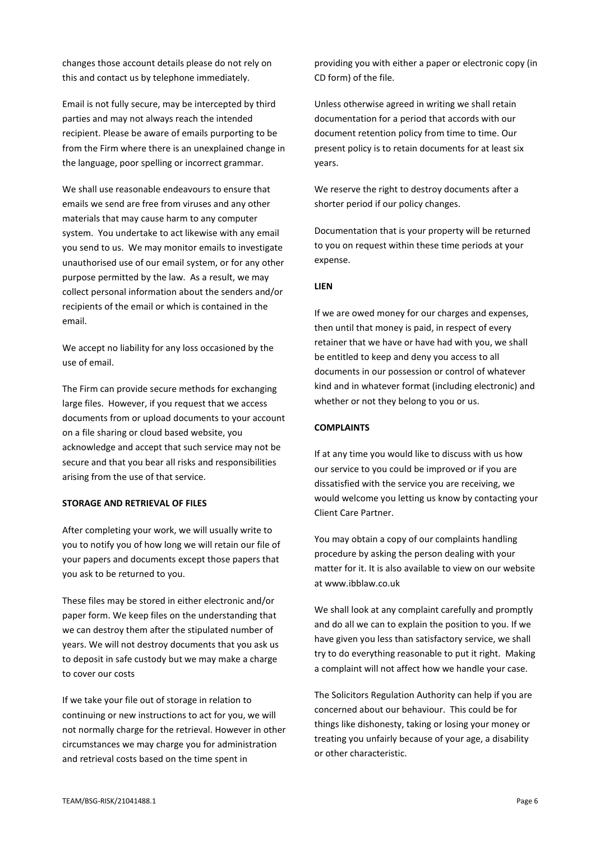changes those account details please do not rely on this and contact us by telephone immediately.

Email is not fully secure, may be intercepted by third parties and may not always reach the intended recipient. Please be aware of emails purporting to be from the Firm where there is an unexplained change in the language, poor spelling or incorrect grammar.

We shall use reasonable endeavours to ensure that emails we send are free from viruses and any other materials that may cause harm to any computer system. You undertake to act likewise with any email you send to us. We may monitor emails to investigate unauthorised use of our email system, or for any other purpose permitted by the law. As a result, we may collect personal information about the senders and/or recipients of the email or which is contained in the email.

We accept no liability for any loss occasioned by the use of email.

The Firm can provide secure methods for exchanging large files. However, if you request that we access documents from or upload documents to your account on a file sharing or cloud based website, you acknowledge and accept that such service may not be secure and that you bear all risks and responsibilities arising from the use of that service.

# **STORAGE AND RETRIEVAL OF FILES**

After completing your work, we will usually write to you to notify you of how long we will retain our file of your papers and documents except those papers that you ask to be returned to you.

These files may be stored in either electronic and/or paper form. We keep files on the understanding that we can destroy them after the stipulated number of years. We will not destroy documents that you ask us to deposit in safe custody but we may make a charge to cover our costs

If we take your file out of storage in relation to continuing or new instructions to act for you, we will not normally charge for the retrieval. However in other circumstances we may charge you for administration and retrieval costs based on the time spent in

providing you with either a paper or electronic copy (in CD form) of the file.

Unless otherwise agreed in writing we shall retain documentation for a period that accords with our document retention policy from time to time. Our present policy is to retain documents for at least six years.

We reserve the right to destroy documents after a shorter period if our policy changes.

Documentation that is your property will be returned to you on request within these time periods at your expense.

### **LIEN**

If we are owed money for our charges and expenses, then until that money is paid, in respect of every retainer that we have or have had with you, we shall be entitled to keep and deny you access to all documents in our possession or control of whatever kind and in whatever format (including electronic) and whether or not they belong to you or us.

# **COMPLAINTS**

If at any time you would like to discuss with us how our service to you could be improved or if you are dissatisfied with the service you are receiving, we would welcome you letting us know by contacting your Client Care Partner.

You may obtain a copy of our complaints handling procedure by asking the person dealing with your matter for it. It is also available to view on our website at www.ibblaw.co.uk

We shall look at any complaint carefully and promptly and do all we can to explain the position to you. If we have given you less than satisfactory service, we shall try to do everything reasonable to put it right. Making a complaint will not affect how we handle your case.

The Solicitors Regulation Authority can help if you are concerned about our behaviour. This could be for things like dishonesty, taking or losing your money or treating you unfairly because of your age, a disability or other characteristic.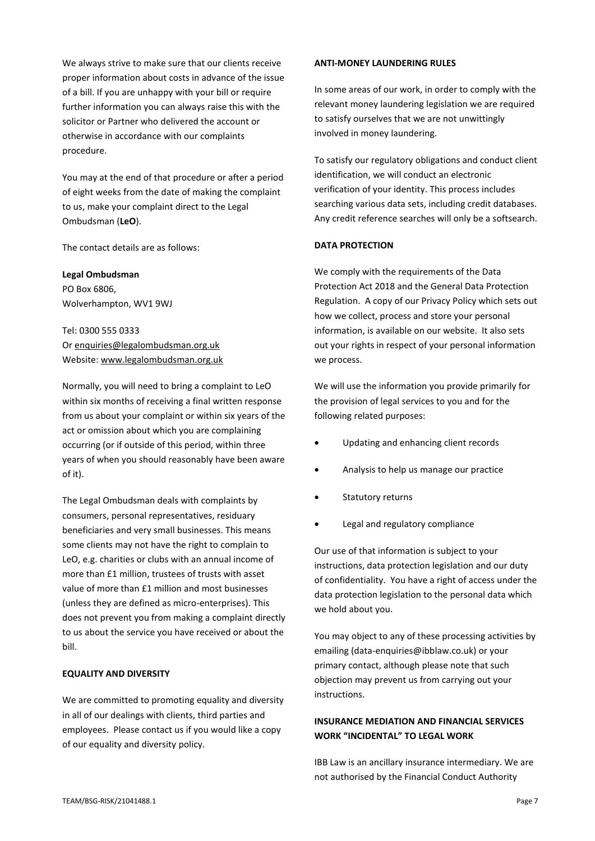We always strive to make sure that our clients receive proper information about costs in advance of the issue of a bill. If you are unhappy with your bill or require further information you can always raise this with the solicitor or Partner who delivered the account or otherwise in accordance with our complaints procedure.

You may at the end of that procedure or after a period of eight weeks from the date of making the complaint to us, make your complaint direct to the Legal Ombudsman (**LeO**).

The contact details are as follows:

**Legal Ombudsman** PO Box 6806, Wolverhampton, WV1 9WJ

Tel: 0300 555 0333 O[r enquiries@legalombudsman.org.uk](mailto:enquiries@legalombudsman.org.uk) Website: [www.legalombudsman.org.uk](http://www.legalombudsman.org.uk/)

Normally, you will need to bring a complaint to LeO within six months of receiving a final written response from us about your complaint or within six years of the act or omission about which you are complaining occurring (or if outside of this period, within three years of when you should reasonably have been aware of it).

The Legal Ombudsman deals with complaints by consumers, personal representatives, residuary beneficiaries and very small businesses. This means some clients may not have the right to complain to LeO, e.g. charities or clubs with an annual income of more than £1 million, trustees of trusts with asset value of more than £1 million and most businesses (unless they are defined as micro-enterprises). This does not prevent you from making a complaint directly to us about the service you have received or about the bill.

# **EQUALITY AND DIVERSITY**

We are committed to promoting equality and diversity in all of our dealings with clients, third parties and employees. Please contact us if you would like a copy of our equality and diversity policy.

### **ANTI-MONEY LAUNDERING RULES**

In some areas of our work, in order to comply with the relevant money laundering legislation we are required to satisfy ourselves that we are not unwittingly involved in money laundering.

To satisfy our regulatory obligations and conduct client identification, we will conduct an electronic verification of your identity. This process includes searching various data sets, including credit databases. Any credit reference searches will only be a softsearch.

# **DATA PROTECTION**

We comply with the requirements of the Data Protection Act 2018 and the General Data Protection Regulation. A copy of our Privacy Policy which sets out how we collect, process and store your personal information, is available on our website. It also sets out your rights in respect of your personal information we process.

We will use the information you provide primarily for the provision of legal services to you and for the following related purposes:

- Updating and enhancing client records
- Analysis to help us manage our practice
- Statutory returns
- Legal and regulatory compliance

Our use of that information is subject to your instructions, data protection legislation and our duty of confidentiality. You have a right of access under the data protection legislation to the personal data which we hold about you.

You may object to any of these processing activities by emailing (data-enquiries@ibblaw.co.uk) or your primary contact, although please note that such objection may prevent us from carrying out your instructions.

# **INSURANCE MEDIATION AND FINANCIAL SERVICES WORK "INCIDENTAL" TO LEGAL WORK**

IBB Law is an ancillary insurance intermediary. We are not authorised by the Financial Conduct Authority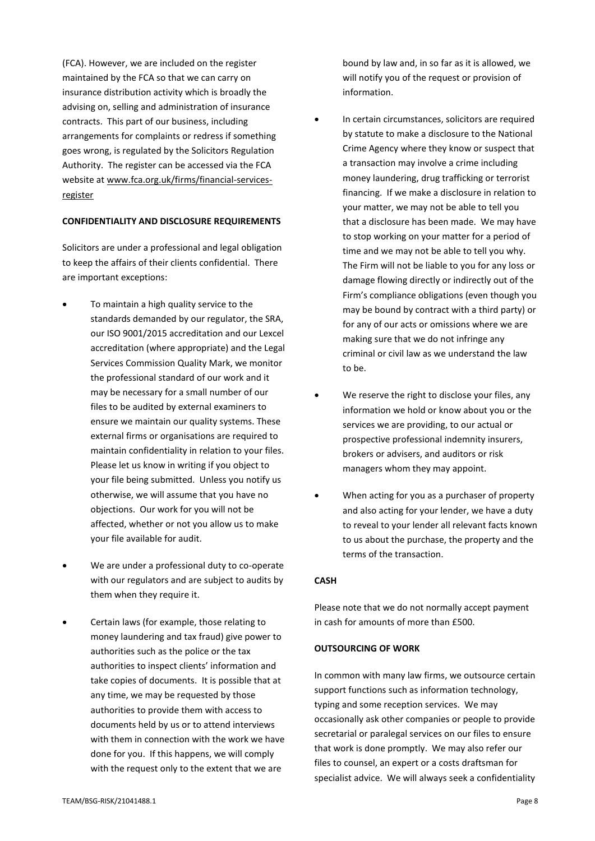(FCA). However, we are included on the register maintained by the FCA so that we can carry on insurance distribution activity which is broadly the advising on, selling and administration of insurance contracts. This part of our business, including arrangements for complaints or redress if something goes wrong, is regulated by the Solicitors Regulation Authority. The register can be accessed via the FCA website at [www.fca.org.uk/firms/financial-services](http://www.fca.org.uk/firms/financial-services-register)[register](http://www.fca.org.uk/firms/financial-services-register)

# **CONFIDENTIALITY AND DISCLOSURE REQUIREMENTS**

Solicitors are under a professional and legal obligation to keep the affairs of their clients confidential. There are important exceptions:

- To maintain a high quality service to the standards demanded by our regulator, the SRA, our ISO 9001/2015 accreditation and our Lexcel accreditation (where appropriate) and the Legal Services Commission Quality Mark, we monitor the professional standard of our work and it may be necessary for a small number of our files to be audited by external examiners to ensure we maintain our quality systems. These external firms or organisations are required to maintain confidentiality in relation to your files. Please let us know in writing if you object to your file being submitted. Unless you notify us otherwise, we will assume that you have no objections. Our work for you will not be affected, whether or not you allow us to make your file available for audit.
- We are under a professional duty to co-operate with our regulators and are subject to audits by them when they require it.
- Certain laws (for example, those relating to money laundering and tax fraud) give power to authorities such as the police or the tax authorities to inspect clients' information and take copies of documents. It is possible that at any time, we may be requested by those authorities to provide them with access to documents held by us or to attend interviews with them in connection with the work we have done for you. If this happens, we will comply with the request only to the extent that we are

bound by law and, in so far as it is allowed, we will notify you of the request or provision of information.

- In certain circumstances, solicitors are required by statute to make a disclosure to the National Crime Agency where they know or suspect that a transaction may involve a crime including money laundering, drug trafficking or terrorist financing. If we make a disclosure in relation to your matter, we may not be able to tell you that a disclosure has been made. We may have to stop working on your matter for a period of time and we may not be able to tell you why. The Firm will not be liable to you for any loss or damage flowing directly or indirectly out of the Firm's compliance obligations (even though you may be bound by contract with a third party) or for any of our acts or omissions where we are making sure that we do not infringe any criminal or civil law as we understand the law to be.
- We reserve the right to disclose your files, any information we hold or know about you or the services we are providing, to our actual or prospective professional indemnity insurers, brokers or advisers, and auditors or risk managers whom they may appoint.
- When acting for you as a purchaser of property and also acting for your lender, we have a duty to reveal to your lender all relevant facts known to us about the purchase, the property and the terms of the transaction.

#### **CASH**

Please note that we do not normally accept payment in cash for amounts of more than £500.

# **OUTSOURCING OF WORK**

In common with many law firms, we outsource certain support functions such as information technology, typing and some reception services. We may occasionally ask other companies or people to provide secretarial or paralegal services on our files to ensure that work is done promptly. We may also refer our files to counsel, an expert or a costs draftsman for specialist advice. We will always seek a confidentiality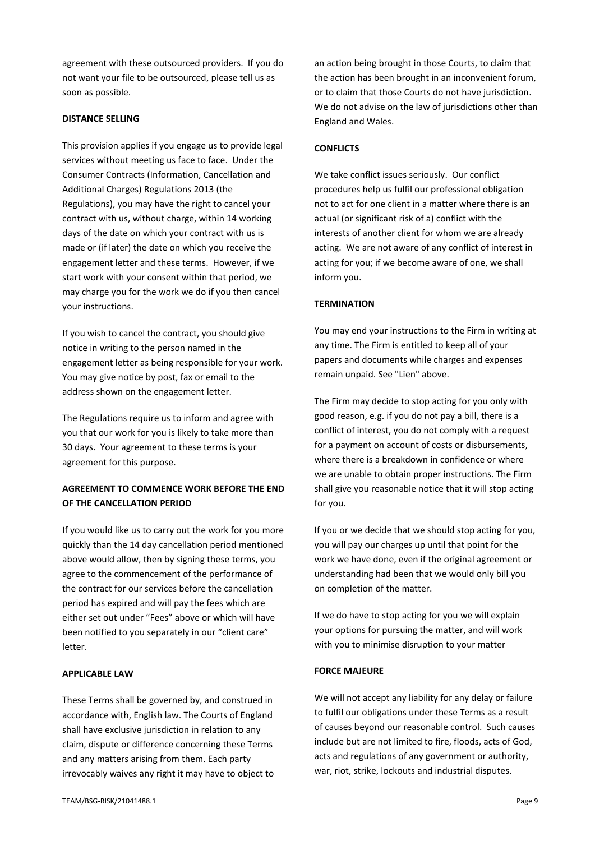agreement with these outsourced providers. If you do not want your file to be outsourced, please tell us as soon as possible.

# **DISTANCE SELLING**

This provision applies if you engage us to provide legal services without meeting us face to face. Under the Consumer Contracts (Information, Cancellation and Additional Charges) Regulations 2013 (the Regulations), you may have the right to cancel your contract with us, without charge, within 14 working days of the date on which your contract with us is made or (if later) the date on which you receive the engagement letter and these terms. However, if we start work with your consent within that period, we may charge you for the work we do if you then cancel your instructions.

If you wish to cancel the contract, you should give notice in writing to the person named in the engagement letter as being responsible for your work. You may give notice by post, fax or email to the address shown on the engagement letter.

The Regulations require us to inform and agree with you that our work for you is likely to take more than 30 days. Your agreement to these terms is your agreement for this purpose.

# **AGREEMENT TO COMMENCE WORK BEFORE THE END OF THE CANCELLATION PERIOD**

If you would like us to carry out the work for you more quickly than the 14 day cancellation period mentioned above would allow, then by signing these terms, you agree to the commencement of the performance of the contract for our services before the cancellation period has expired and will pay the fees which are either set out under "Fees" above or which will have been notified to you separately in our "client care" letter.

# **APPLICABLE LAW**

These Terms shall be governed by, and construed in accordance with, English law. The Courts of England shall have exclusive jurisdiction in relation to any claim, dispute or difference concerning these Terms and any matters arising from them. Each party irrevocably waives any right it may have to object to an action being brought in those Courts, to claim that the action has been brought in an inconvenient forum, or to claim that those Courts do not have jurisdiction. We do not advise on the law of jurisdictions other than England and Wales.

### **CONFLICTS**

We take conflict issues seriously. Our conflict procedures help us fulfil our professional obligation not to act for one client in a matter where there is an actual (or significant risk of a) conflict with the interests of another client for whom we are already acting. We are not aware of any conflict of interest in acting for you; if we become aware of one, we shall inform you.

# **TERMINATION**

You may end your instructions to the Firm in writing at any time. The Firm is entitled to keep all of your papers and documents while charges and expenses remain unpaid. See "Lien" above.

The Firm may decide to stop acting for you only with good reason, e.g. if you do not pay a bill, there is a conflict of interest, you do not comply with a request for a payment on account of costs or disbursements, where there is a breakdown in confidence or where we are unable to obtain proper instructions. The Firm shall give you reasonable notice that it will stop acting for you.

If you or we decide that we should stop acting for you, you will pay our charges up until that point for the work we have done, even if the original agreement or understanding had been that we would only bill you on completion of the matter.

If we do have to stop acting for you we will explain your options for pursuing the matter, and will work with you to minimise disruption to your matter

# **FORCE MAJEURE**

We will not accept any liability for any delay or failure to fulfil our obligations under these Terms as a result of causes beyond our reasonable control. Such causes include but are not limited to fire, floods, acts of God, acts and regulations of any government or authority, war, riot, strike, lockouts and industrial disputes.